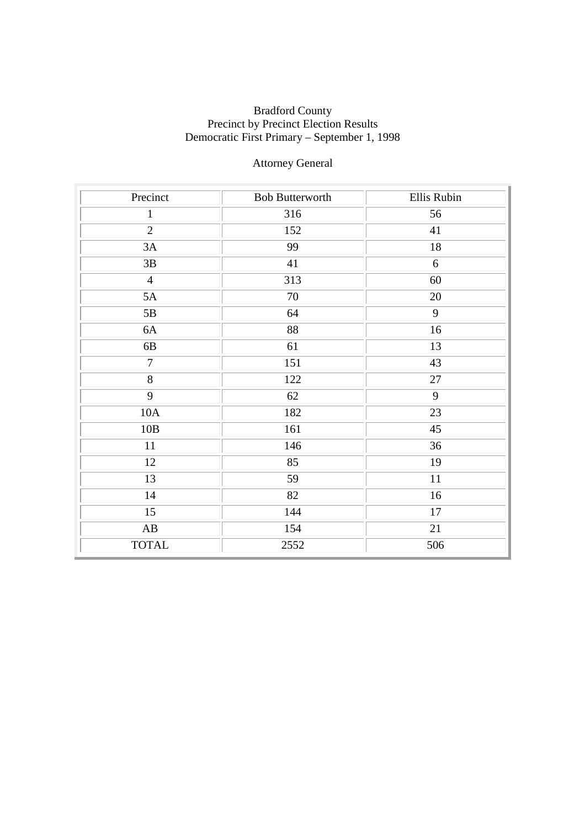# Attorney General

| Precinct               | <b>Bob Butterworth</b> | Ellis Rubin |
|------------------------|------------------------|-------------|
| $\mathbf{1}$           | 316                    | 56          |
| $\overline{2}$         | 152                    | 41          |
| 3A                     | 99                     | 18          |
| 3B                     | 41                     | 6           |
| $\overline{4}$         | 313                    | 60          |
| 5A                     | 70                     | 20          |
| 5B                     | 64                     | 9           |
| 6A                     | 88                     | 16          |
| 6B                     | 61                     | 13          |
| $\overline{7}$         | 151                    | 43          |
| $\overline{8}$         | 122                    | $27\,$      |
| $\overline{9}$         | 62                     | 9           |
| 10A                    | 182                    | 23          |
| 10B                    | 161                    | 45          |
| 11                     | 146                    | 36          |
| 12                     | 85                     | 19          |
| 13                     | 59                     | 11          |
| 14                     | 82                     | 16          |
| 15                     | 144                    | 17          |
| $\mathbf{A}\mathbf{B}$ | 154                    | 21          |
| <b>TOTAL</b>           | 2552                   | 506         |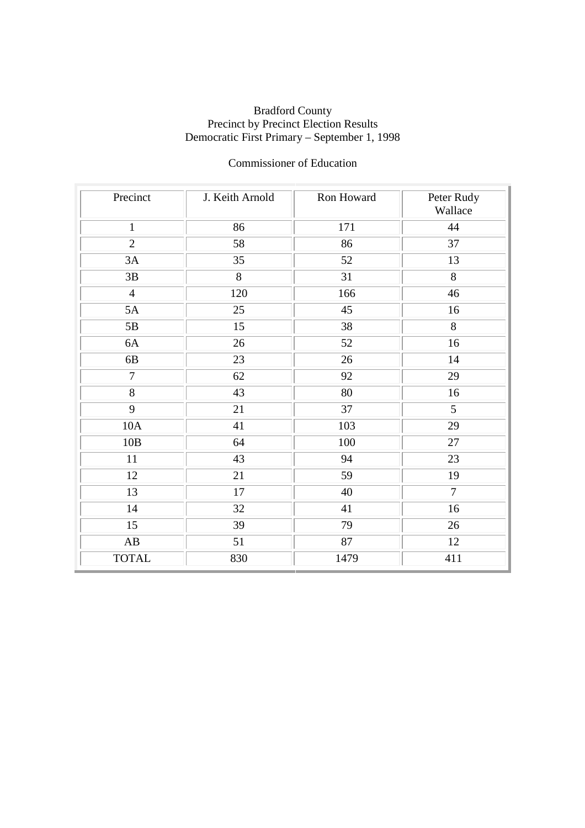# Commissioner of Education

| Precinct        | J. Keith Arnold | Ron Howard | Peter Rudy<br>Wallace |
|-----------------|-----------------|------------|-----------------------|
| $\mathbf{1}$    | 86              | 171        | 44                    |
| $\overline{2}$  | 58              | 86         | 37                    |
| 3A              | 35              | 52         | 13                    |
| 3B              | 8               | 31         | 8                     |
| $\overline{4}$  | 120             | 166        | 46                    |
| 5A              | 25              | 45         | 16                    |
| 5B              | 15              | 38         | 8                     |
| 6A              | 26              | 52         | 16                    |
| 6B              | 23              | 26         | 14                    |
| $\overline{7}$  | 62              | 92         | 29                    |
| 8               | 43              | 80         | 16                    |
| 9               | 21              | 37         | 5                     |
| 10A             | 41              | 103        | 29                    |
| 10B             | 64              | 100        | 27                    |
| 11              | 43              | 94         | 23                    |
| 12              | 21              | 59         | 19                    |
| 13              | 17              | 40         | $\overline{7}$        |
| 14              | 32              | 41         | 16                    |
| $\overline{15}$ | 39              | 79         | 26                    |
| AB              | 51              | 87         | 12                    |
| <b>TOTAL</b>    | 830             | 1479       | 411                   |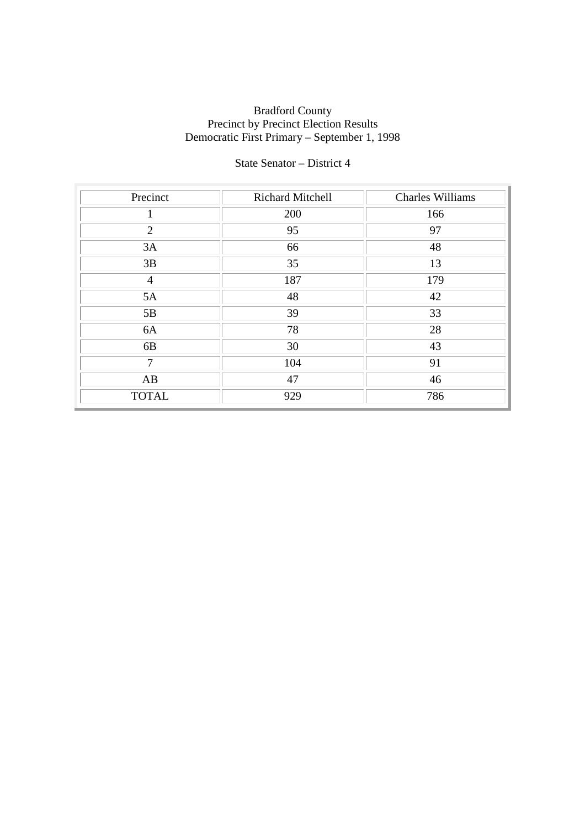## State Senator – District 4

| Precinct       | Richard Mitchell | <b>Charles Williams</b> |
|----------------|------------------|-------------------------|
|                | 200              | 166                     |
| $\overline{2}$ | 95               | 97                      |
| 3A             | 66               | 48                      |
| 3B             | 35               | 13                      |
| $\overline{4}$ | 187              | 179                     |
| 5A             | 48               | 42                      |
| 5B             | 39               | 33                      |
| 6A             | 78               | 28                      |
| 6B             | 30               | 43                      |
| 7              | 104              | 91                      |
| AB             | 47               | 46                      |
| <b>TOTAL</b>   | 929              | 786                     |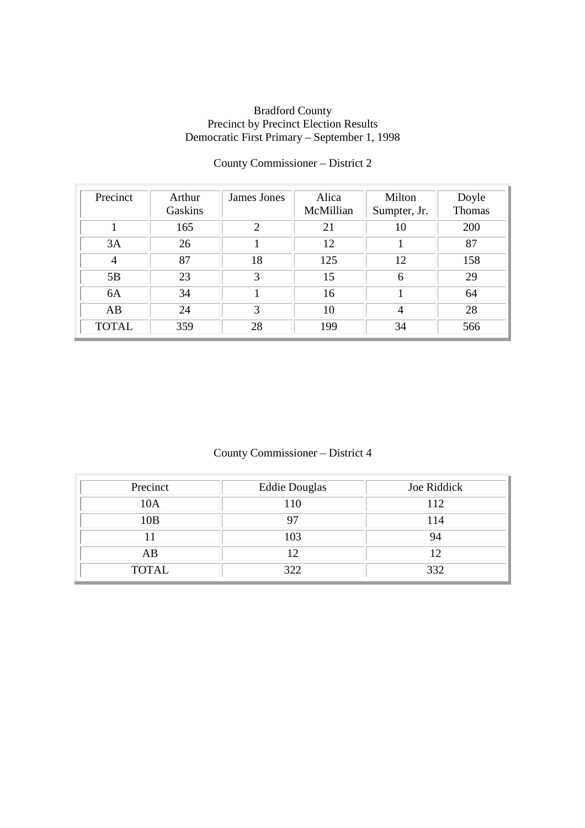| Precinct     | Arthur<br>Gaskins | James Jones | Alica<br>McMillian | Milton<br>Sumpter, Jr. | Doyle<br>Thomas |
|--------------|-------------------|-------------|--------------------|------------------------|-----------------|
|              | 165               | 2           | 21                 | 10                     | 200             |
| 3A           | 26                |             | 12                 |                        | 87              |
| 4            | 87                | 18          | 125                | 12                     | 158             |
| 5B           | 23                | 3           | 15                 | 6                      | 29              |
| 6A           | 34                |             | 16                 |                        | 64              |
| AB           | 24                | 3           | 10                 | 4                      | 28              |
| <b>TOTAL</b> | 359               | 28          | 199                | 34                     | 566             |

# County Commissioner – District 2

# County Commissioner – District 4

| Precinct     | <b>Eddie Douglas</b> | Joe Riddick |
|--------------|----------------------|-------------|
| 10A          | 110                  | 112         |
| 10B          |                      | 114         |
|              | 103                  | 94          |
| AB           |                      |             |
| <b>TOTAL</b> | 322                  | 332         |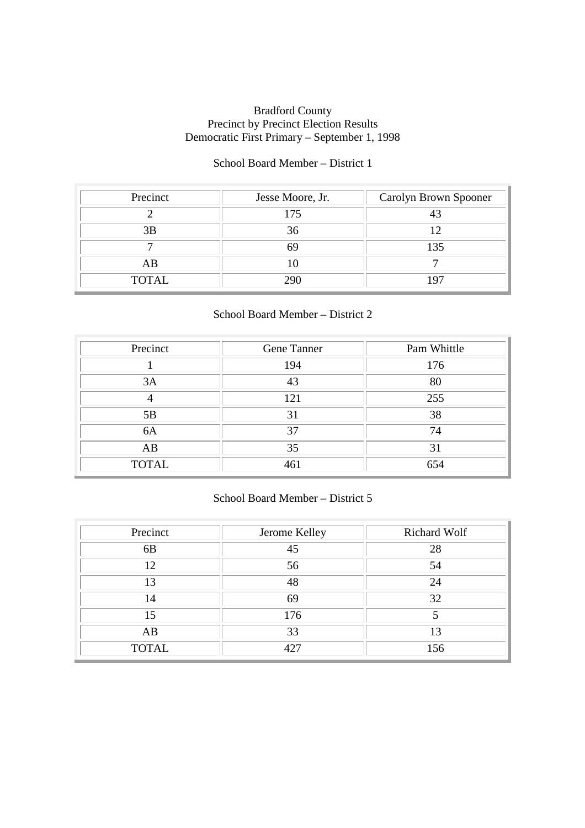#### School Board Member – District 1

| Precinct     | Jesse Moore, Jr. | Carolyn Brown Spooner |
|--------------|------------------|-----------------------|
|              | 175              |                       |
| 3B           | 36               |                       |
|              |                  | 135                   |
| AB           |                  |                       |
| <b>TOTAL</b> |                  | 97                    |

#### School Board Member – District 2

| Precinct     | Gene Tanner | Pam Whittle |
|--------------|-------------|-------------|
|              | 194         | 176         |
| 3A           | 43          | 80          |
|              | 121         | 255         |
| 5B           | 31          | 38          |
| 6A           | 37          | 74          |
| AB           | 35          | 31          |
| <b>TOTAL</b> | 461         | 654         |

### School Board Member – District 5

| Precinct       | Jerome Kelley   | Richard Wolf |
|----------------|-----------------|--------------|
| 6 <sub>B</sub> | 45              | 28           |
| 12             | 56              | 54           |
| 13             | 48              | 24           |
| 14             | 69              | 32           |
| 15             | 176             |              |
| AB             | 33              | 13           |
| <b>TOTAL</b>   | 42 <sup>7</sup> | 156          |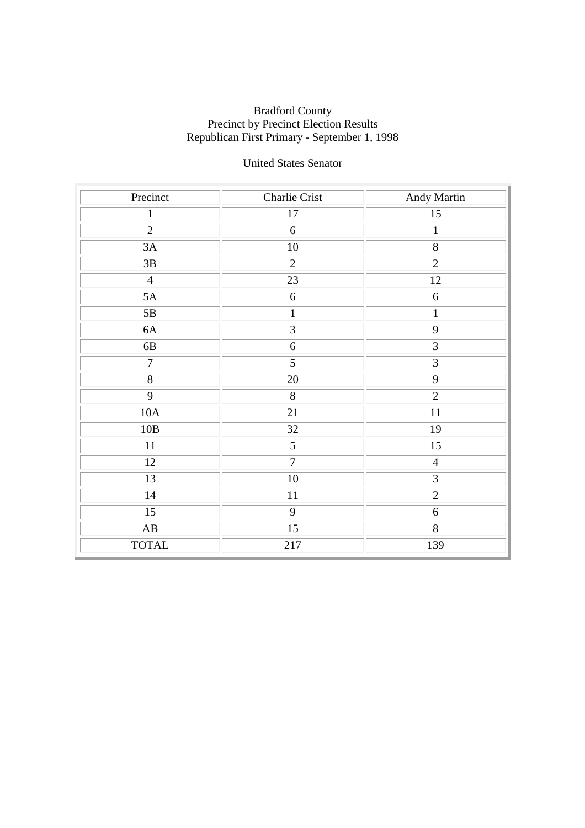# United States Senator

| Precinct               | Charlie Crist   | Andy Martin    |
|------------------------|-----------------|----------------|
| $\mathbf{1}$           | $17\,$          | $15\,$         |
| $\overline{2}$         | $6\,$           | $\,1$          |
| 3A                     | 10              | $\overline{8}$ |
| 3B                     | $\overline{2}$  | $\overline{2}$ |
| $\overline{4}$         | $\overline{23}$ | 12             |
| 5A                     | $6\,$           | $\sqrt{6}$     |
| 5B                     | $\mathbf{1}$    | $\mathbf{1}$   |
| 6A                     | 3               | 9              |
| $6B$                   | $6\,$           | $\overline{3}$ |
| $\overline{7}$         | $\overline{5}$  | $\overline{3}$ |
| $\overline{8}$         | 20              | $\overline{9}$ |
| $\overline{9}$         | 8               | $\overline{2}$ |
| 10A                    | 21              | 11             |
| 10B                    | 32              | 19             |
| 11                     | $\overline{5}$  | 15             |
| 12                     | $\overline{7}$  | $\overline{4}$ |
| 13                     | $10\,$          | $\mathfrak{Z}$ |
| 14                     | $11\,$          | $\overline{2}$ |
| 15                     | $\overline{9}$  | $\sqrt{6}$     |
| $\mathbf{A}\mathbf{B}$ | 15              | $8\,$          |
| <b>TOTAL</b>           | 217             | 139            |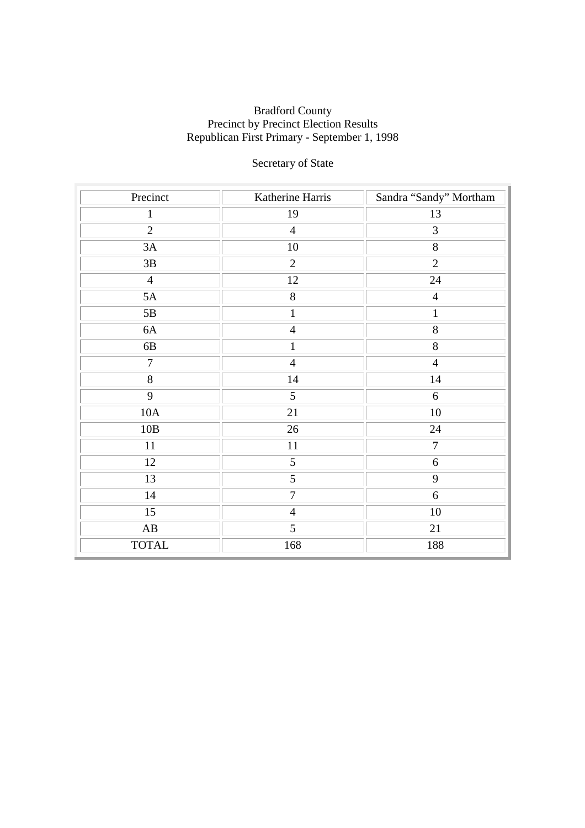# Secretary of State

| Precinct               | Katherine Harris | Sandra "Sandy" Mortham |
|------------------------|------------------|------------------------|
| 1                      | 19               | 13                     |
| $\overline{2}$         | $\overline{4}$   | 3                      |
| 3A                     | 10               | $\overline{8}$         |
| $3\mathrm{B}$          | $\overline{2}$   | $\overline{2}$         |
| $\overline{4}$         | 12               | 24                     |
| 5A                     | 8                | $\overline{4}$         |
| $5\mathrm{B}$          | $\mathbf{1}$     | $\mathbf{1}$           |
| 6A                     | $\overline{4}$   | $8\,$                  |
| $6B$                   | $\mathbf{1}$     | $8\,$                  |
| $\tau$                 | $\overline{4}$   | $\overline{4}$         |
| $\overline{8}$         | 14               | 14                     |
| 9                      | 5                | 6                      |
| 10A                    | 21               | $10\,$                 |
| $10B$                  | 26               | 24                     |
| 11                     | 11               | $\boldsymbol{7}$       |
| 12                     | 5                | $\sqrt{6}$             |
| 13                     | $\overline{5}$   | 9                      |
| 14                     | $\overline{7}$   | 6                      |
| $\overline{15}$        | $\overline{4}$   | 10                     |
| $\mathbf{A}\mathbf{B}$ | 5                | 21                     |
| <b>TOTAL</b>           | 168              | 188                    |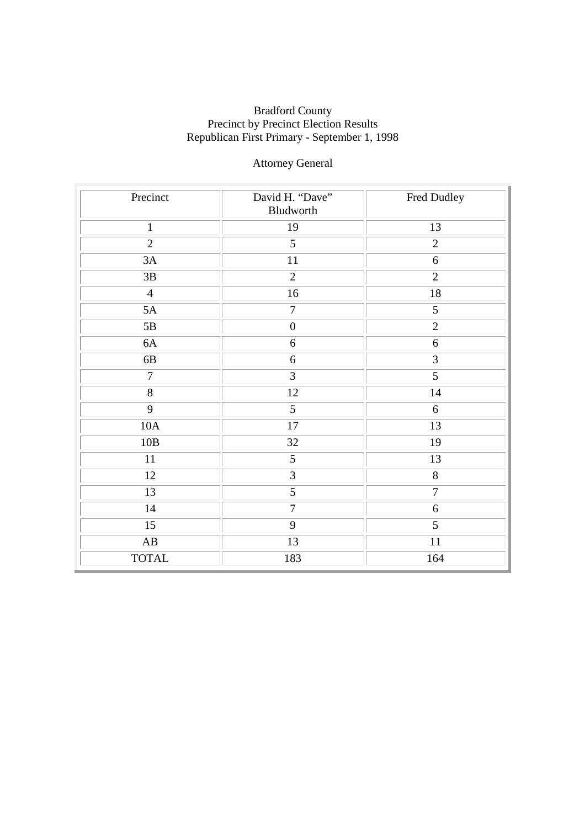# Attorney General

| Precinct               | David H. "Dave"<br>Bludworth | Fred Dudley    |
|------------------------|------------------------------|----------------|
| $\mathbf{1}$           | 19                           | 13             |
| $\overline{2}$         | $\overline{5}$               | $\overline{2}$ |
| 3A                     | 11                           | $\sqrt{6}$     |
| 3B                     | $\overline{2}$               | $\overline{2}$ |
| $\overline{4}$         | $\overline{16}$              | 18             |
| 5A                     | $\overline{7}$               | $\overline{5}$ |
| $5\mathrm{B}$          | $\boldsymbol{0}$             | $\overline{2}$ |
| 6A                     | 6                            | 6              |
| 6B                     | $\boldsymbol{6}$             | $\overline{3}$ |
| $\boldsymbol{7}$       | $\overline{3}$               | 5              |
| $\overline{8}$         | 12                           | 14             |
| $\overline{9}$         | 5                            | 6              |
| $10A$                  | $17\,$                       | 13             |
| 10B                    | 32                           | 19             |
| $11\,$                 | 5                            | 13             |
| 12                     | $\overline{3}$               | $8\,$          |
| 13                     | $\overline{5}$               | $\overline{7}$ |
| $14$                   | $\overline{7}$               | $\sqrt{6}$     |
| $\overline{15}$        | $\overline{9}$               | $\overline{5}$ |
| $\mathbf{A}\mathbf{B}$ | 13                           | 11             |
| <b>TOTAL</b>           | 183                          | 164            |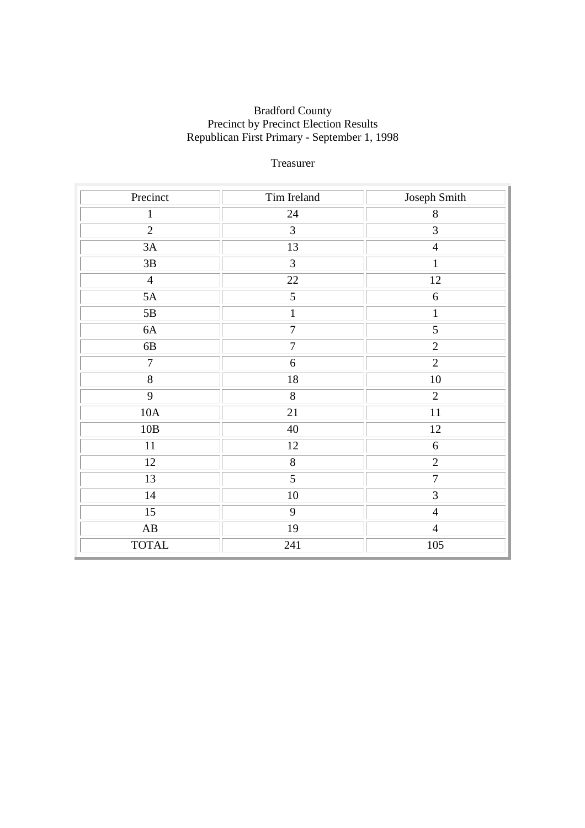### Treasurer

| Precinct               | Tim Ireland      | Joseph Smith     |
|------------------------|------------------|------------------|
| $\mathbf{1}$           | 24               | $\,8\,$          |
| $\overline{2}$         | $\overline{3}$   | $\overline{3}$   |
| 3A                     | 13               | $\overline{4}$   |
| $3\mathrm{B}$          | $\overline{3}$   | $\mathbf{1}$     |
| $\overline{4}$         | $\overline{22}$  | 12               |
| 5A                     | 5                | $\sqrt{6}$       |
| 5B                     | $\mathbf 1$      | $\mathbf{1}$     |
| 6A                     | $\boldsymbol{7}$ | $\sqrt{5}$       |
| $6B$                   | $\boldsymbol{7}$ | $\overline{2}$   |
| $\overline{7}$         | 6                | $\overline{2}$   |
| $\overline{8}$         | 18               | 10               |
| 9                      | 8                | $\overline{2}$   |
| 10A                    | 21               | 11               |
| $10B$                  | 40               | 12               |
| 11                     | 12               | $\boldsymbol{6}$ |
| 12                     | $8\,$            | $\overline{2}$   |
| 13                     | 5                | $\boldsymbol{7}$ |
| 14                     | $10\,$           | $\overline{3}$   |
| 15                     | $\overline{9}$   | $\overline{4}$   |
| $\mathbf{A}\mathbf{B}$ | 19               | $\overline{4}$   |
| <b>TOTAL</b>           | 241              | 105              |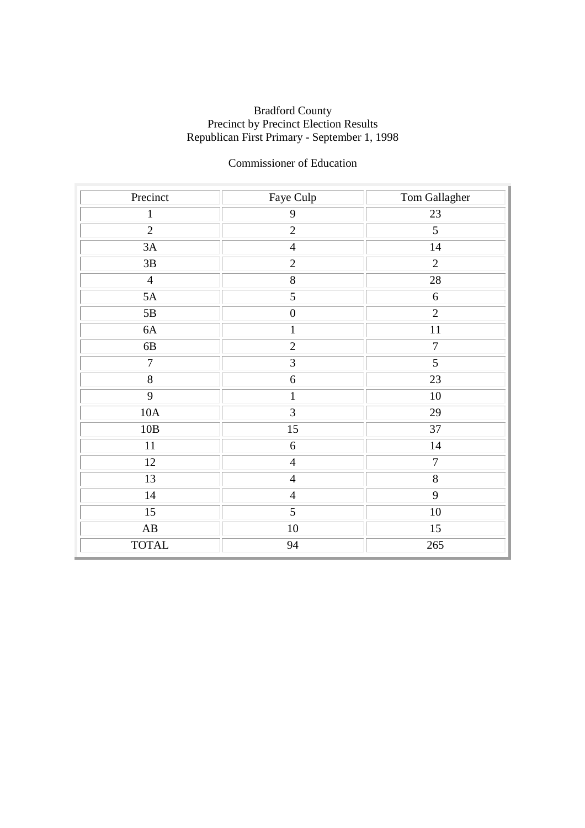## Commissioner of Education

| Precinct               | Faye Culp        | Tom Gallagher      |
|------------------------|------------------|--------------------|
| $\mathbf{1}$           | $\mathbf{9}$     | 23                 |
| $\overline{2}$         | $\overline{2}$   | $\overline{5}$     |
| 3A                     | $\overline{4}$   | 14                 |
| $3\mathrm{B}$          | $\overline{2}$   | $\overline{2}$     |
| $\overline{4}$         | $\overline{8}$   | $28\,$             |
| 5A                     | 5                | $\sqrt{6}$         |
| 5B                     | $\boldsymbol{0}$ | $\overline{2}$     |
| 6A                     | $\mathbf{1}$     | 11                 |
| $6B$                   | $\overline{2}$   | $\boldsymbol{7}$   |
| $\overline{7}$         | $\overline{3}$   | $\overline{5}$     |
| $\overline{8}$         | 6                | 23                 |
| 9                      | $\mathbf{1}$     | 10                 |
| 10A                    | $\overline{3}$   | 29                 |
| 10B                    | $15\,$           | 37                 |
| 11                     | 6                | 14                 |
| 12                     | $\overline{4}$   | $\overline{7}$     |
| 13                     | $\overline{4}$   | $\overline{\bf 8}$ |
| 14                     | $\overline{4}$   | $\overline{9}$     |
| 15                     | $\overline{5}$   | $\overline{10}$    |
| $\mathbf{A}\mathbf{B}$ | $10\,$           | 15                 |
| <b>TOTAL</b>           | 94               | 265                |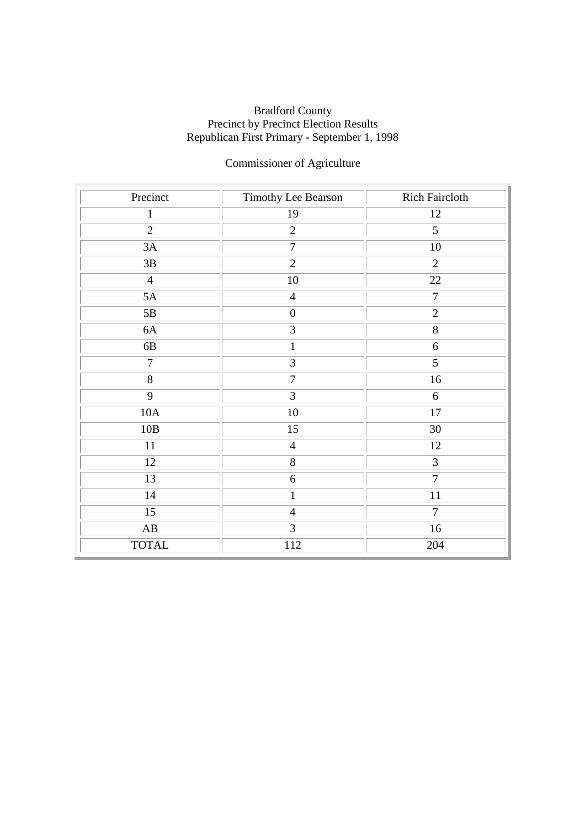# Commissioner of Agriculture

| Precinct               | Timothy Lee Bearson | <b>Rich Faircloth</b> |
|------------------------|---------------------|-----------------------|
| $\mathbf{1}$           | 19                  | 12                    |
| $\overline{2}$         | $\overline{2}$      | $\overline{5}$        |
| 3A                     | $\overline{7}$      | $10\,$                |
| $3\mathrm{B}$          | $\overline{2}$      | $\overline{2}$        |
| $\overline{4}$         | $10\,$              | 22                    |
| 5A                     | $\overline{4}$      | $\overline{7}$        |
| 5B                     | $\boldsymbol{0}$    | $\overline{2}$        |
| 6A                     | 3                   | $8\,$                 |
| $6B$                   | $\mathbf{1}$        | $\sqrt{6}$            |
| $\overline{7}$         | $\overline{3}$      | $\overline{5}$        |
| $\overline{8}$         | $\overline{7}$      | 16                    |
| $\overline{9}$         | $\overline{3}$      | 6                     |
| 10A                    | $10\,$              | $17\,$                |
| 10B                    | 15                  | 30                    |
| 11                     | $\overline{4}$      | 12                    |
| 12                     | 8                   | $\overline{3}$        |
| 13                     | $\boldsymbol{6}$    | $\overline{7}$        |
| 14                     | $\mathbf{1}$        | 11                    |
| $\overline{15}$        | $\overline{4}$      | $\overline{7}$        |
| $\mathbf{A}\mathbf{B}$ | 3                   | 16                    |
| <b>TOTAL</b>           | 112                 | 204                   |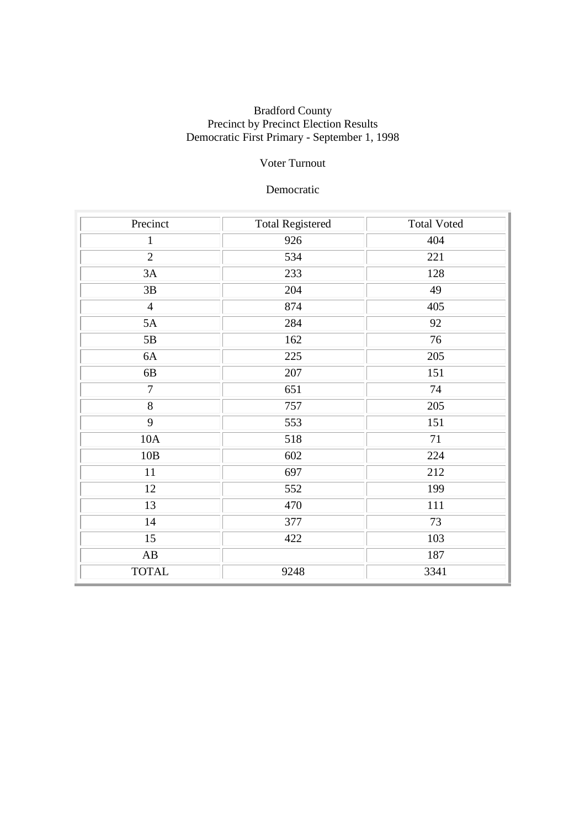### Voter Turnout

#### Democratic

| Precinct               | <b>Total Registered</b> | <b>Total Voted</b> |
|------------------------|-------------------------|--------------------|
| $\mathbf{1}$           | 926                     | 404                |
| $\overline{2}$         | 534                     | 221                |
| 3A                     | 233                     | 128                |
| $3\mathrm{B}$          | 204                     | 49                 |
| $\overline{4}$         | 874                     | 405                |
| 5A                     | 284                     | 92                 |
| 5B                     | 162                     | 76                 |
| 6A                     | 225                     | 205                |
| 6B                     | 207                     | 151                |
| $\overline{7}$         | 651                     | 74                 |
| 8                      | 757                     | 205                |
| $\overline{9}$         | 553                     | 151                |
| 10A                    | 518                     | 71                 |
| 10B                    | 602                     | 224                |
| 11                     | 697                     | 212                |
| 12                     | 552                     | 199                |
| 13                     | 470                     | 111                |
| 14                     | 377                     | 73                 |
| 15                     | 422                     | 103                |
| $\mathbf{A}\mathbf{B}$ |                         | 187                |
| <b>TOTAL</b>           | 9248                    | 3341               |